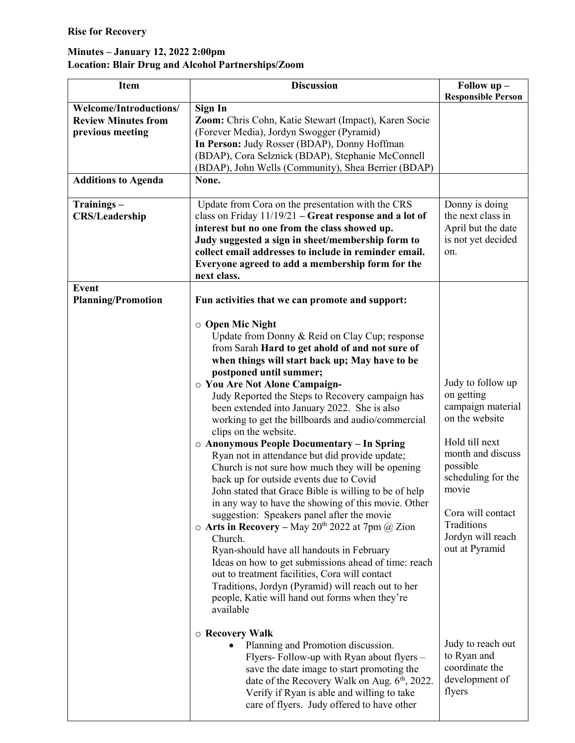## Minutes – January 12, 2022 2:00pm Location: Blair Drug and Alcohol Partnerships/Zoom

| Welcome/Introductions/<br>Sign In<br><b>Review Minutes from</b><br>Zoom: Chris Cohn, Katie Stewart (Impact), Karen Socie<br>(Forever Media), Jordyn Swogger (Pyramid)<br>previous meeting<br>In Person: Judy Rosser (BDAP), Donny Hoffman<br>(BDAP), Cora Selznick (BDAP), Stephanie McConnell<br>(BDAP), John Wells (Community), Shea Berrier (BDAP)<br><b>Additions to Agenda</b><br>None.<br>Update from Cora on the presentation with the CRS<br>Trainings-<br>Donny is doing<br><b>CRS/Leadership</b><br>class on Friday $11/19/21$ – Great response and a lot of<br>the next class in<br>interest but no one from the class showed up.<br>April but the date<br>is not yet decided<br>Judy suggested a sign in sheet/membership form to<br>collect email addresses to include in reminder email.<br>on.<br>Everyone agreed to add a membership form for the<br>next class.<br><b>Event</b><br><b>Planning/Promotion</b><br>Fun activities that we can promote and support:<br>$\circ$ Open Mic Night<br>Update from Donny & Reid on Clay Cup; response<br>from Sarah Hard to get ahold of and not sure of<br>when things will start back up; May have to be<br>postponed until summer;<br>Judy to follow up<br>O You Are Not Alone Campaign-<br>on getting<br>Judy Reported the Steps to Recovery campaign has<br>campaign material<br>been extended into January 2022. She is also<br>on the website<br>working to get the billboards and audio/commercial<br>clips on the website.<br>Hold till next<br>○ Anonymous People Documentary - In Spring<br>month and discuss<br>Ryan not in attendance but did provide update;<br>possible<br>Church is not sure how much they will be opening<br>scheduling for the<br>back up for outside events due to Covid | <b>Item</b> | <b>Discussion</b>                                     | Follow up -               |
|--------------------------------------------------------------------------------------------------------------------------------------------------------------------------------------------------------------------------------------------------------------------------------------------------------------------------------------------------------------------------------------------------------------------------------------------------------------------------------------------------------------------------------------------------------------------------------------------------------------------------------------------------------------------------------------------------------------------------------------------------------------------------------------------------------------------------------------------------------------------------------------------------------------------------------------------------------------------------------------------------------------------------------------------------------------------------------------------------------------------------------------------------------------------------------------------------------------------------------------------------------------------------------------------------------------------------------------------------------------------------------------------------------------------------------------------------------------------------------------------------------------------------------------------------------------------------------------------------------------------------------------------------------------------------------------------------------------------------------------------------------------------|-------------|-------------------------------------------------------|---------------------------|
|                                                                                                                                                                                                                                                                                                                                                                                                                                                                                                                                                                                                                                                                                                                                                                                                                                                                                                                                                                                                                                                                                                                                                                                                                                                                                                                                                                                                                                                                                                                                                                                                                                                                                                                                                                    |             |                                                       | <b>Responsible Person</b> |
|                                                                                                                                                                                                                                                                                                                                                                                                                                                                                                                                                                                                                                                                                                                                                                                                                                                                                                                                                                                                                                                                                                                                                                                                                                                                                                                                                                                                                                                                                                                                                                                                                                                                                                                                                                    |             |                                                       |                           |
|                                                                                                                                                                                                                                                                                                                                                                                                                                                                                                                                                                                                                                                                                                                                                                                                                                                                                                                                                                                                                                                                                                                                                                                                                                                                                                                                                                                                                                                                                                                                                                                                                                                                                                                                                                    |             |                                                       |                           |
|                                                                                                                                                                                                                                                                                                                                                                                                                                                                                                                                                                                                                                                                                                                                                                                                                                                                                                                                                                                                                                                                                                                                                                                                                                                                                                                                                                                                                                                                                                                                                                                                                                                                                                                                                                    |             |                                                       |                           |
|                                                                                                                                                                                                                                                                                                                                                                                                                                                                                                                                                                                                                                                                                                                                                                                                                                                                                                                                                                                                                                                                                                                                                                                                                                                                                                                                                                                                                                                                                                                                                                                                                                                                                                                                                                    |             |                                                       |                           |
| in any way to have the showing of this movie. Other<br>Cora will contact<br>suggestion: Speakers panel after the movie<br>Traditions<br>$\circ$ Arts in Recovery – May 20 <sup>th</sup> 2022 at 7pm @ Zion<br>Jordyn will reach<br>Church.<br>out at Pyramid<br>Ryan-should have all handouts in February<br>Ideas on how to get submissions ahead of time: reach<br>out to treatment facilities, Cora will contact<br>Traditions, Jordyn (Pyramid) will reach out to her<br>people, Katie will hand out forms when they're<br>available<br>○ Recovery Walk<br>Judy to reach out<br>Planning and Promotion discussion.<br>to Ryan and<br>Flyers-Follow-up with Ryan about flyers -<br>coordinate the<br>save the date image to start promoting the<br>development of<br>date of the Recovery Walk on Aug. 6 <sup>th</sup> , 2022.<br>flyers<br>Verify if Ryan is able and willing to take<br>care of flyers. Judy offered to have other                                                                                                                                                                                                                                                                                                                                                                                                                                                                                                                                                                                                                                                                                                                                                                                                                            |             | John stated that Grace Bible is willing to be of help | movie                     |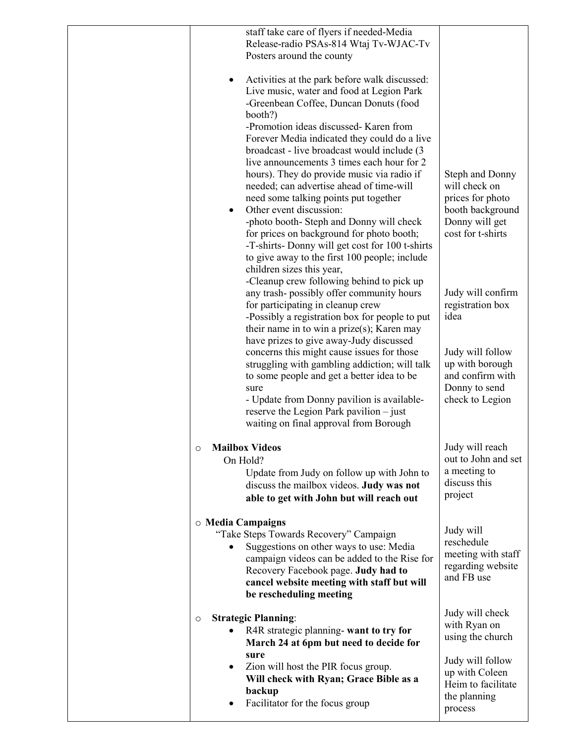| Release-radio PSAs-814 Wtaj Tv-WJAC-Tv<br>Posters around the county<br>Activities at the park before walk discussed:<br>Live music, water and food at Legion Park<br>-Greenbean Coffee, Duncan Donuts (food<br>booth?)<br>-Promotion ideas discussed- Karen from<br>Forever Media indicated they could do a live<br>broadcast - live broadcast would include (3)<br>live announcements 3 times each hour for 2<br>hours). They do provide music via radio if<br><b>Steph and Donny</b><br>will check on<br>needed; can advertise ahead of time-will<br>need some talking points put together<br>prices for photo<br>Other event discussion:<br>booth background<br>Donny will get<br>-photo booth- Steph and Donny will check<br>cost for t-shirts<br>for prices on background for photo booth;<br>-T-shirts-Donny will get cost for 100 t-shirts<br>to give away to the first 100 people; include<br>children sizes this year,<br>-Cleanup crew following behind to pick up<br>any trash-possibly offer community hours<br>Judy will confirm<br>registration box<br>for participating in cleanup crew<br>-Possibly a registration box for people to put<br>idea<br>their name in to win a prize $(s)$ ; Karen may<br>have prizes to give away-Judy discussed<br>concerns this might cause issues for those<br>Judy will follow<br>struggling with gambling addiction; will talk<br>up with borough<br>and confirm with<br>to some people and get a better idea to be<br>Donny to send<br>sure<br>- Update from Donny pavilion is available-<br>check to Legion<br>reserve the Legion Park pavilion $-$ just<br>waiting on final approval from Borough<br><b>Mailbox Videos</b><br>Judy will reach<br>$\circ$<br>out to John and set<br>On Hold?<br>a meeting to<br>Update from Judy on follow up with John to<br>discuss this<br>discuss the mailbox videos. Judy was not<br>project<br>able to get with John but will reach out<br>o Media Campaigns<br>Judy will<br>"Take Steps Towards Recovery" Campaign<br>reschedule<br>Suggestions on other ways to use: Media<br>meeting with staff<br>campaign videos can be added to the Rise for<br>regarding website<br>Recovery Facebook page. Judy had to<br>and FB use<br>cancel website meeting with staff but will<br>be rescheduling meeting<br>Judy will check<br><b>Strategic Planning:</b><br>$\circ$<br>with Ryan on<br>R4R strategic planning- want to try for<br>using the church<br>March 24 at 6pm but need to decide for<br>sure<br>Judy will follow<br>Zion will host the PIR focus group.<br>$\bullet$<br>up with Coleen<br>Will check with Ryan; Grace Bible as a<br>Heim to facilitate<br>backup<br>the planning<br>Facilitator for the focus group<br>process |                                           |  |
|--------------------------------------------------------------------------------------------------------------------------------------------------------------------------------------------------------------------------------------------------------------------------------------------------------------------------------------------------------------------------------------------------------------------------------------------------------------------------------------------------------------------------------------------------------------------------------------------------------------------------------------------------------------------------------------------------------------------------------------------------------------------------------------------------------------------------------------------------------------------------------------------------------------------------------------------------------------------------------------------------------------------------------------------------------------------------------------------------------------------------------------------------------------------------------------------------------------------------------------------------------------------------------------------------------------------------------------------------------------------------------------------------------------------------------------------------------------------------------------------------------------------------------------------------------------------------------------------------------------------------------------------------------------------------------------------------------------------------------------------------------------------------------------------------------------------------------------------------------------------------------------------------------------------------------------------------------------------------------------------------------------------------------------------------------------------------------------------------------------------------------------------------------------------------------------------------------------------------------------------------------------------------------------------------------------------------------------------------------------------------------------------------------------------------------------------------------------------------------------------------------------------------------------------------------------------------------------------------------------------------------------------------------------------------------------------------------------------------------|-------------------------------------------|--|
|                                                                                                                                                                                                                                                                                                                                                                                                                                                                                                                                                                                                                                                                                                                                                                                                                                                                                                                                                                                                                                                                                                                                                                                                                                                                                                                                                                                                                                                                                                                                                                                                                                                                                                                                                                                                                                                                                                                                                                                                                                                                                                                                                                                                                                                                                                                                                                                                                                                                                                                                                                                                                                                                                                                                | staff take care of flyers if needed-Media |  |
|                                                                                                                                                                                                                                                                                                                                                                                                                                                                                                                                                                                                                                                                                                                                                                                                                                                                                                                                                                                                                                                                                                                                                                                                                                                                                                                                                                                                                                                                                                                                                                                                                                                                                                                                                                                                                                                                                                                                                                                                                                                                                                                                                                                                                                                                                                                                                                                                                                                                                                                                                                                                                                                                                                                                |                                           |  |
|                                                                                                                                                                                                                                                                                                                                                                                                                                                                                                                                                                                                                                                                                                                                                                                                                                                                                                                                                                                                                                                                                                                                                                                                                                                                                                                                                                                                                                                                                                                                                                                                                                                                                                                                                                                                                                                                                                                                                                                                                                                                                                                                                                                                                                                                                                                                                                                                                                                                                                                                                                                                                                                                                                                                |                                           |  |
|                                                                                                                                                                                                                                                                                                                                                                                                                                                                                                                                                                                                                                                                                                                                                                                                                                                                                                                                                                                                                                                                                                                                                                                                                                                                                                                                                                                                                                                                                                                                                                                                                                                                                                                                                                                                                                                                                                                                                                                                                                                                                                                                                                                                                                                                                                                                                                                                                                                                                                                                                                                                                                                                                                                                |                                           |  |
|                                                                                                                                                                                                                                                                                                                                                                                                                                                                                                                                                                                                                                                                                                                                                                                                                                                                                                                                                                                                                                                                                                                                                                                                                                                                                                                                                                                                                                                                                                                                                                                                                                                                                                                                                                                                                                                                                                                                                                                                                                                                                                                                                                                                                                                                                                                                                                                                                                                                                                                                                                                                                                                                                                                                |                                           |  |
|                                                                                                                                                                                                                                                                                                                                                                                                                                                                                                                                                                                                                                                                                                                                                                                                                                                                                                                                                                                                                                                                                                                                                                                                                                                                                                                                                                                                                                                                                                                                                                                                                                                                                                                                                                                                                                                                                                                                                                                                                                                                                                                                                                                                                                                                                                                                                                                                                                                                                                                                                                                                                                                                                                                                |                                           |  |
|                                                                                                                                                                                                                                                                                                                                                                                                                                                                                                                                                                                                                                                                                                                                                                                                                                                                                                                                                                                                                                                                                                                                                                                                                                                                                                                                                                                                                                                                                                                                                                                                                                                                                                                                                                                                                                                                                                                                                                                                                                                                                                                                                                                                                                                                                                                                                                                                                                                                                                                                                                                                                                                                                                                                |                                           |  |
|                                                                                                                                                                                                                                                                                                                                                                                                                                                                                                                                                                                                                                                                                                                                                                                                                                                                                                                                                                                                                                                                                                                                                                                                                                                                                                                                                                                                                                                                                                                                                                                                                                                                                                                                                                                                                                                                                                                                                                                                                                                                                                                                                                                                                                                                                                                                                                                                                                                                                                                                                                                                                                                                                                                                |                                           |  |
|                                                                                                                                                                                                                                                                                                                                                                                                                                                                                                                                                                                                                                                                                                                                                                                                                                                                                                                                                                                                                                                                                                                                                                                                                                                                                                                                                                                                                                                                                                                                                                                                                                                                                                                                                                                                                                                                                                                                                                                                                                                                                                                                                                                                                                                                                                                                                                                                                                                                                                                                                                                                                                                                                                                                |                                           |  |
|                                                                                                                                                                                                                                                                                                                                                                                                                                                                                                                                                                                                                                                                                                                                                                                                                                                                                                                                                                                                                                                                                                                                                                                                                                                                                                                                                                                                                                                                                                                                                                                                                                                                                                                                                                                                                                                                                                                                                                                                                                                                                                                                                                                                                                                                                                                                                                                                                                                                                                                                                                                                                                                                                                                                |                                           |  |